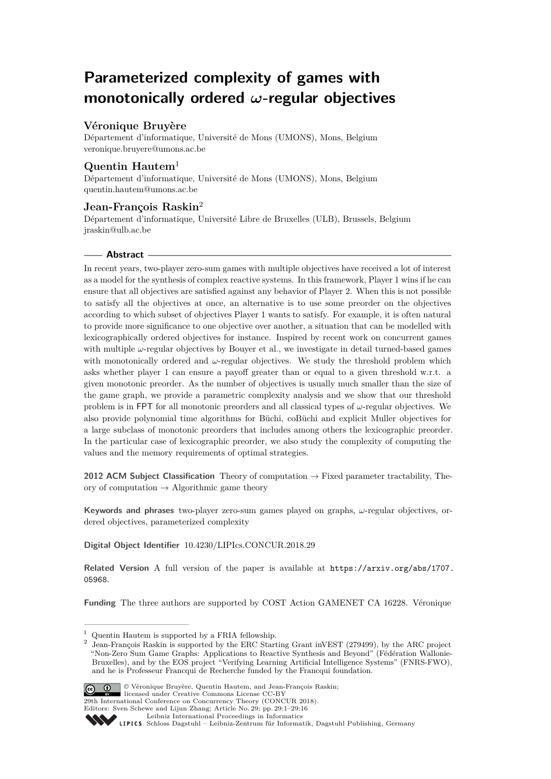# **Parameterized complexity of games with monotonically ordered** *ω***-regular objectives**

# **Véronique Bruyère**

Département d'informatique, Université de Mons (UMONS), Mons, Belgium [veronique.bruyere@umons.ac.be](mailto:veronique.bruyere@umons.ac.be)

# **Quentin Hautem**<sup>1</sup>

Département d'informatique, Université de Mons (UMONS), Mons, Belgium [quentin.hautem@umons.ac.be](mailto:quentin.hautem@umons.ac.be)

# **Jean-François Raskin**<sup>2</sup>

Département d'informatique, Université Libre de Bruxelles (ULB), Brussels, Belgium [jraskin@ulb.ac.be](mailto:jraskin@ulb.ac.be)

## **Abstract**

In recent years, two-player zero-sum games with multiple objectives have received a lot of interest as a model for the synthesis of complex reactive systems. In this framework, Player 1 wins if he can ensure that all objectives are satisfied against any behavior of Player 2. When this is not possible to satisfy all the objectives at once, an alternative is to use some preorder on the objectives according to which subset of objectives Player 1 wants to satisfy. For example, it is often natural to provide more significance to one objective over another, a situation that can be modelled with lexicographically ordered objectives for instance. Inspired by recent work on concurrent games with multiple *ω*-regular objectives by Bouyer et al., we investigate in detail turned-based games with monotonically ordered and *ω*-regular objectives. We study the threshold problem which asks whether player 1 can ensure a payoff greater than or equal to a given threshold w.r.t. a given monotonic preorder. As the number of objectives is usually much smaller than the size of the game graph, we provide a parametric complexity analysis and we show that our threshold problem is in FPT for all monotonic preorders and all classical types of *ω*-regular objectives. We also provide polynomial time algorithms for Büchi, coBüchi and explicit Muller objectives for a large subclass of monotonic preorders that includes among others the lexicographic preorder. In the particular case of lexicographic preorder, we also study the complexity of computing the values and the memory requirements of optimal strategies.

**2012 ACM Subject Classification** Theory of computation → Fixed parameter tractability, Theory of computation  $\rightarrow$  Algorithmic game theory

**Keywords and phrases** two-player zero-sum games played on graphs, *ω*-regular objectives, ordered objectives, parameterized complexity

**Digital Object Identifier** [10.4230/LIPIcs.CONCUR.2018.29](http://dx.doi.org/10.4230/LIPIcs.CONCUR.2018.29)

**Related Version** A full version of the paper is available at [https://arxiv.org/abs/1707.](https://arxiv.org/abs/1707.05968) [05968](https://arxiv.org/abs/1707.05968).

**Funding** The three authors are supported by COST Action GAMENET CA 16228. Véronique

Jean-François Raskin is supported by the ERC Starting Grant inVEST (279499), by the ARC project "Non-Zero Sum Game Graphs: Applications to Reactive Synthesis and Beyond" (Fédération Wallonie-Bruxelles), and by the EOS project "Verifying Learning Artificial Intelligence Systems" (FNRS-FWO), and he is Professeur Francqui de Recherche funded by the Francqui foundation.



© Véronique Bruyère, Quentin Hautem, and Jean-François Raskin; licensed under Creative Commons License CC-BY 29th International Conference on Concurrency Theory (CONCUR 2018).

Editors: Sven Schewe and Lijun Zhang; Article No. 29; pp. 29:1–29[:16](#page-15-0)

[Leibniz International Proceedings in Informatics](http://www.dagstuhl.de/lipics/)

<sup>&</sup>lt;sup>1</sup> Quentin Hautem is supported by a FRIA fellowship.<br><sup>2</sup> Joan Francois Baskin is supported by the FBC Start

Leibniz international ruse einigs in missimosischen Publishing, Germany<br>LIPICS [Schloss Dagstuhl – Leibniz-Zentrum für Informatik, Dagstuhl Publishing, Germany](http://www.dagstuhl.de)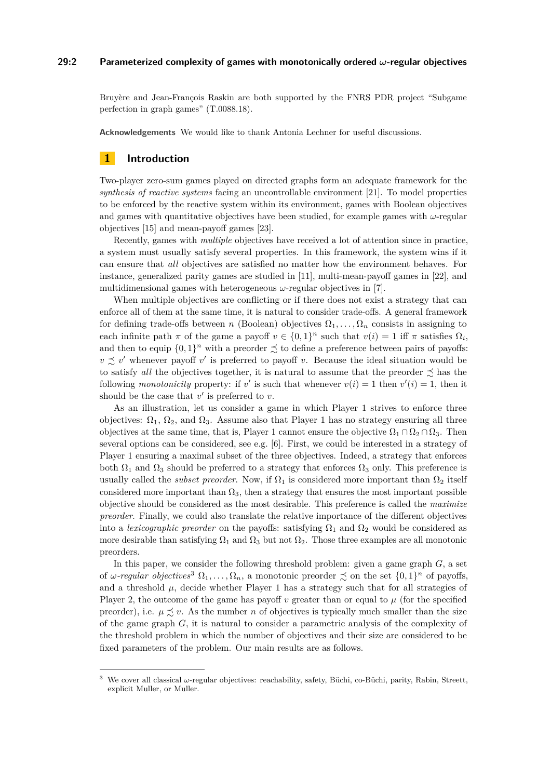### **29:2 Parameterized complexity of games with monotonically ordered** *ω***-regular objectives**

Bruyère and Jean-François Raskin are both supported by the FNRS PDR project "Subgame perfection in graph games" (T.0088.18).

**Acknowledgements** We would like to thank Antonia Lechner for useful discussions.

### **1 Introduction**

Two-player zero-sum games played on directed graphs form an adequate framework for the *synthesis of reactive systems* facing an uncontrollable environment [\[21\]](#page-15-1). To model properties to be enforced by the reactive system within its environment, games with Boolean objectives and games with quantitative objectives have been studied, for example games with  $\omega$ -regular objectives [\[15\]](#page-15-2) and mean-payoff games [\[23\]](#page-15-3).

Recently, games with *multiple* objectives have received a lot of attention since in practice, a system must usually satisfy several properties. In this framework, the system wins if it can ensure that *all* objectives are satisfied no matter how the environment behaves. For instance, generalized parity games are studied in [\[11\]](#page-14-0), multi-mean-payoff games in [\[22\]](#page-15-4), and multidimensional games with heterogeneous  $\omega$ -regular objectives in [\[7\]](#page-14-1).

When multiple objectives are conflicting or if there does not exist a strategy that can enforce all of them at the same time, it is natural to consider trade-offs. A general framework for defining trade-offs between *n* (Boolean) objectives  $\Omega_1, \ldots, \Omega_n$  consists in assigning to each infinite path  $\pi$  of the game a payoff  $v \in \{0,1\}^n$  such that  $v(i) = 1$  iff  $\pi$  satisfies  $\Omega_i$ , and then to equip  $\{0,1\}^n$  with a preorder  $\precsim$  to define a preference between pairs of payoffs:  $v \precsim v'$  whenever payoff *v*' is preferred to payoff *v*. Because the ideal situation would be to satisfy *all* the objectives together, it is natural to assume that the preorder  $\preceq$  has the following *monotonicity* property: if *v*' is such that whenever  $v(i) = 1$  then  $v'(i) = 1$ , then it should be the case that  $v'$  is preferred to  $v$ .

As an illustration, let us consider a game in which Player 1 strives to enforce three objectives:  $\Omega_1$ ,  $\Omega_2$ , and  $\Omega_3$ . Assume also that Player 1 has no strategy ensuring all three objectives at the same time, that is, Player 1 cannot ensure the objective  $\Omega_1 \cap \Omega_2 \cap \Omega_3$ . Then several options can be considered, see e.g. [\[6\]](#page-14-2). First, we could be interested in a strategy of Player 1 ensuring a maximal subset of the three objectives. Indeed, a strategy that enforces both  $\Omega_1$  and  $\Omega_3$  should be preferred to a strategy that enforces  $\Omega_3$  only. This preference is usually called the *subset preorder*. Now, if  $\Omega_1$  is considered more important than  $\Omega_2$  itself considered more important than  $\Omega_3$ , then a strategy that ensures the most important possible objective should be considered as the most desirable. This preference is called the *maximize preorder*. Finally, we could also translate the relative importance of the different objectives into a *lexicographic preorder* on the payoffs: satisfying  $\Omega_1$  and  $\Omega_2$  would be considered as more desirable than satisfying  $\Omega_1$  and  $\Omega_3$  but not  $\Omega_2$ . Those three examples are all monotonic preorders.

In this paper, we consider the following threshold problem: given a game graph *G*, a set of *ω*-regular objectives<sup>[3](#page-1-0)</sup>  $\Omega_1, \ldots, \Omega_n$ , a monotonic preorder  $\lesssim$  on the set  $\{0,1\}^n$  of payoffs, and a threshold  $\mu$ , decide whether Player 1 has a strategy such that for all strategies of Player 2, the outcome of the game has payoff  $\nu$  greater than or equal to  $\mu$  (for the specified preorder), i.e.  $\mu \preceq v$ . As the number *n* of objectives is typically much smaller than the size of the game graph *G*, it is natural to consider a parametric analysis of the complexity of the threshold problem in which the number of objectives and their size are considered to be fixed parameters of the problem. Our main results are as follows.

<span id="page-1-0"></span><sup>3</sup> We cover all classical *ω*-regular objectives: reachability, safety, Büchi, co-Büchi, parity, Rabin, Streett, explicit Muller, or Muller.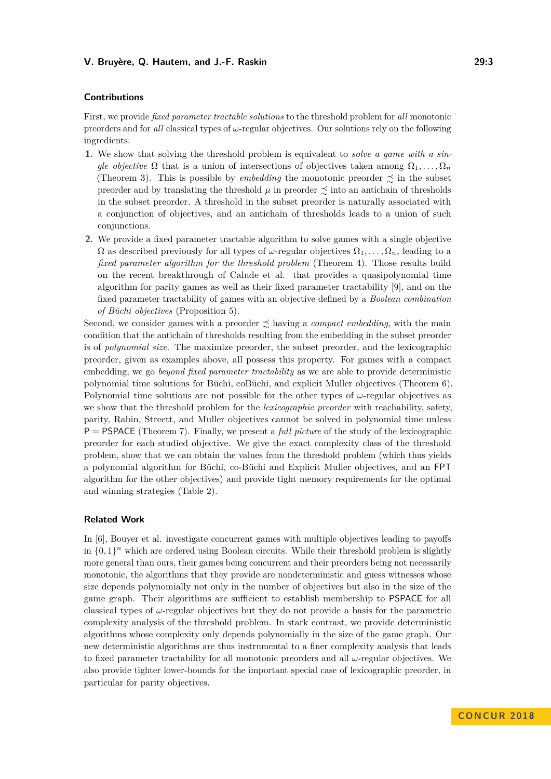### **Contributions**

First, we provide *fixed parameter tractable solutions* to the threshold problem for *all* monotonic preorders and for *all* classical types of *ω*-regular objectives. Our solutions rely on the following ingredients:

- **1.** We show that solving the threshold problem is equivalent to *solve a game with a single objective*  $\Omega$  that is a union of intersections of objectives taken among  $\Omega_1, \ldots, \Omega_n$ (Theorem [3\)](#page-7-0). This is possible by *embedding* the monotonic preorder  $\precsim$  in the subset preorder and by translating the threshold  $\mu$  in preorder  $\precsim$  into an antichain of thresholds in the subset preorder. A threshold in the subset preorder is naturally associated with a conjunction of objectives, and an antichain of thresholds leads to a union of such conjunctions.
- **2.** We provide a fixed parameter tractable algorithm to solve games with a single objective  $\Omega$  as described previously for all types of *ω*-regular objectives  $\Omega_1, \ldots, \Omega_n$ , leading to a *fixed parameter algorithm for the threshold problem* (Theorem [4\)](#page-8-0). Those results build on the recent breakthrough of Calude et al. that provides a quasipolynomial time algorithm for parity games as well as their fixed parameter tractability [\[9\]](#page-14-3), and on the fixed parameter tractability of games with an objective defined by a *Boolean combination of Büchi objectives* (Proposition [5\)](#page-8-1).

Second, we consider games with a preorder  $\preceq$  having a *compact embedding*, with the main condition that the antichain of thresholds resulting from the embedding in the subset preorder is of *polynomial size*. The maximize preorder, the subset preorder, and the lexicographic preorder, given as examples above, all possess this property. For games with a compact embedding, we go *beyond fixed parameter tractability* as we are able to provide deterministic polynomial time solutions for Büchi, coBüchi, and explicit Muller objectives (Theorem [6\)](#page-10-0). Polynomial time solutions are not possible for the other types of  $\omega$ -regular objectives as we show that the threshold problem for the *lexicographic preorder* with reachability, safety, parity, Rabin, Streett, and Muller objectives cannot be solved in polynomial time unless P = PSPACE (Theorem [7\)](#page-11-0). Finally, we present a *full picture* of the study of the lexicographic preorder for each studied objective. We give the exact complexity class of the threshold problem, show that we can obtain the values from the threshold problem (which thus yields a polynomial algorithm for Büchi, co-Büchi and Explicit Muller objectives, and an FPT algorithm for the other objectives) and provide tight memory requirements for the optimal and winning strategies (Table [2\)](#page-13-0).

### **Related Work**

In [\[6\]](#page-14-2), Bouyer et al. investigate concurrent games with multiple objectives leading to payoffs in  $\{0,1\}$ <sup>n</sup> which are ordered using Boolean circuits. While their threshold problem is slightly more general than ours, their games being concurrent and their preorders being not necessarily monotonic, the algorithms that they provide are nondeterministic and guess witnesses whose size depends polynomially not only in the number of objectives but also in the size of the game graph. Their algorithms are sufficient to establish membership to PSPACE for all classical types of *ω*-regular objectives but they do not provide a basis for the parametric complexity analysis of the threshold problem. In stark contrast, we provide deterministic algorithms whose complexity only depends polynomially in the size of the game graph. Our new deterministic algorithms are thus instrumental to a finer complexity analysis that leads to fixed parameter tractability for all monotonic preorders and all *ω*-regular objectives. We also provide tighter lower-bounds for the important special case of lexicographic preorder, in particular for parity objectives.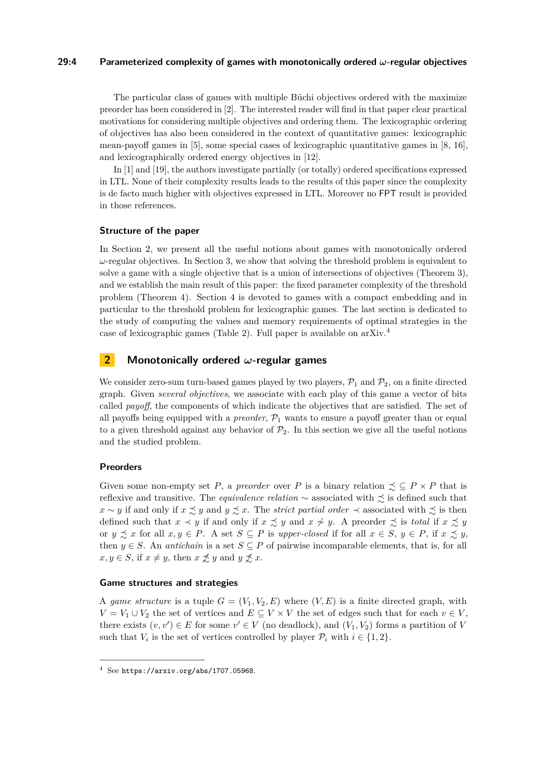### **29:4 Parameterized complexity of games with monotonically ordered** *ω***-regular objectives**

The particular class of games with multiple Büchi objectives ordered with the maximize preorder has been considered in [\[2\]](#page-14-4). The interested reader will find in that paper clear practical motivations for considering multiple objectives and ordering them. The lexicographic ordering of objectives has also been considered in the context of quantitative games: lexicographic mean-payoff games in [\[5\]](#page-14-5), some special cases of lexicographic quantitative games in [\[8,](#page-14-6) [16\]](#page-15-5), and lexicographically ordered energy objectives in [\[12\]](#page-14-7).

In [\[1\]](#page-14-8) and [\[19\]](#page-15-6), the authors investigate partially (or totally) ordered specifications expressed in LTL. None of their complexity results leads to the results of this paper since the complexity is de facto much higher with objectives expressed in LTL. Moreover no FPT result is provided in those references.

### **Structure of the paper**

In Section [2,](#page-3-0) we present all the useful notions about games with monotonically ordered  $\omega$ -regular objectives. In Section [3,](#page-7-1) we show that solving the threshold problem is equivalent to solve a game with a single objective that is a union of intersections of objectives (Theorem [3\)](#page-7-0), and we establish the main result of this paper: the fixed parameter complexity of the threshold problem (Theorem [4\)](#page-8-0). Section [4](#page-10-1) is devoted to games with a compact embedding and in particular to the threshold problem for lexicographic games. The last section is dedicated to the study of computing the values and memory requirements of optimal strategies in the case of lexicographic games (Table [2\)](#page-13-0). Full paper is available on arXiv.[4](#page-3-1)

### <span id="page-3-0"></span>**2 Monotonically ordered** *ω***-regular games**

We consider zero-sum turn-based games played by two players,  $\mathcal{P}_1$  and  $\mathcal{P}_2$ , on a finite directed graph. Given *several objectives*, we associate with each play of this game a vector of bits called *payoff*, the components of which indicate the objectives that are satisfied. The set of all payoffs being equipped with a *preorder*,  $P_1$  wants to ensure a payoff greater than or equal to a given threshold against any behavior of  $\mathcal{P}_2$ . In this section we give all the useful notions and the studied problem.

### **Preorders**

Given some non-empty set *P*, a *preorder* over *P* is a binary relation  $\leq \subseteq P \times P$  that is reflexive and transitive. The *equivalence relation*  $\sim$  associated with  $\lesssim$  is defined such that *x* ∼ *y* if and only if  $x \precsim y$  and  $y \precsim x$ . The *strict partial order*  $\prec$  associated with  $\precsim$  is then defined such that  $x \prec y$  if and only if  $x \precsim y$  and  $x \not\sim y$ . A preorder  $\precsim$  is *total* if  $x \precsim y$ or  $y \precsim x$  for all  $x, y \in P$ . A set  $S \subseteq P$  is *upper-closed* if for all  $x \in S$ ,  $y \in P$ , if  $x \precsim y$ , then  $y \in S$ . An *antichain* is a set  $S \subseteq P$  of pairwise incomparable elements, that is, for all  $x, y \in S$ , if  $x \neq y$ , then  $x \not\precsim y$  and  $y \not\precsim x$ .

### **Game structures and strategies**

A *game structure* is a tuple  $G = (V_1, V_2, E)$  where  $(V, E)$  is a finite directed graph, with *V* = *V*<sub>1</sub> ∪ *V*<sub>2</sub> the set of vertices and *E* ⊆ *V* × *V* the set of edges such that for each *v* ∈ *V*, there exists  $(v, v') \in E$  for some  $v' \in V$  (no deadlock), and  $(V_1, V_2)$  forms a partition of *V* such that  $V_i$  is the set of vertices controlled by player  $\mathcal{P}_i$  with  $i \in \{1, 2\}$ .

<span id="page-3-1"></span> $4$  See <https://arxiv.org/abs/1707.05968>.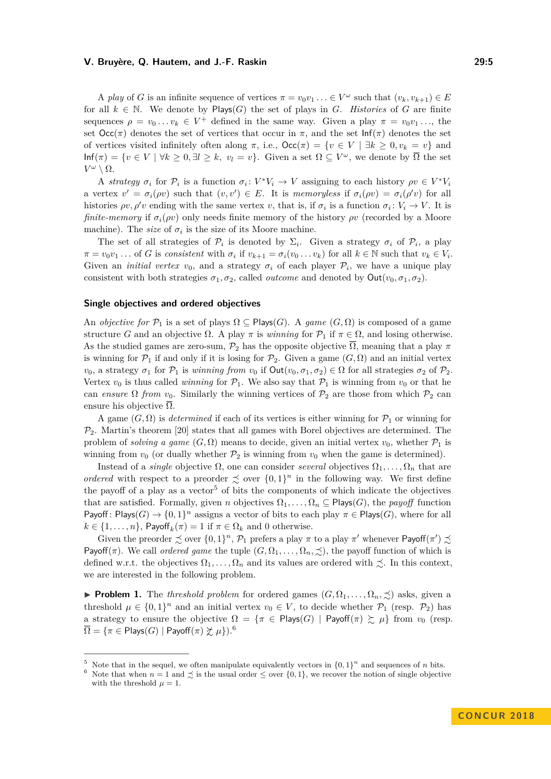A *play* of *G* is an infinite sequence of vertices  $\pi = v_0v_1 \ldots \in V^\omega$  such that  $(v_k, v_{k+1}) \in E$ for all  $k \in \mathbb{N}$ . We denote by Plays(*G*) the set of plays in *G*. *Histories* of *G* are finite sequences  $\rho = v_0 \dots v_k \in V^+$  defined in the same way. Given a play  $\pi = v_0 v_1 \dots$ , the set  $\text{Occ}(\pi)$  denotes the set of vertices that occur in  $\pi$ , and the set  $\text{Inf}(\pi)$  denotes the set of vertices visited infinitely often along  $\pi$ , i.e.,  $\text{Occ}(\pi) = \{v \in V \mid \exists k \geq 0, v_k = v\}$  and  $\text{Inf}(\pi) = \{v \in V \mid \forall k \geq 0, \exists l \geq k, v_l = v\}.$  Given a set  $\Omega \subseteq V^\omega$ , we denote by  $\overline{\Omega}$  the set  $V^{\omega} \setminus \Omega$ .

A *strategy*  $\sigma_i$  for  $\mathcal{P}_i$  is a function  $\sigma_i: V^*V_i \to V$  assigning to each history  $\rho v \in V^*V_i$ a vertex  $v' = \sigma_i(\rho v)$  such that  $(v, v') \in E$ . It is *memoryless* if  $\sigma_i(\rho v) = \sigma_i(\rho' v)$  for all histories  $\rho v, \rho' v$  ending with the same vertex *v*, that is, if  $\sigma_i$  is a function  $\sigma_i: V_i \to V$ . It is *finite-memory* if  $\sigma_i(\rho v)$  only needs finite memory of the history  $\rho v$  (recorded by a Moore machine). The *size* of  $\sigma_i$  is the size of its Moore machine.

The set of all strategies of  $\mathcal{P}_i$  is denoted by  $\Sigma_i$ . Given a strategy  $\sigma_i$  of  $\mathcal{P}_i$ , a play  $\pi = v_0 v_1 \dots$  of G is consistent with  $\sigma_i$  if  $v_{k+1} = \sigma_i(v_0 \dots v_k)$  for all  $k \in \mathbb{N}$  such that  $v_k \in V_i$ . Given an *initial vertex*  $v_0$ , and a strategy  $\sigma_i$  of each player  $\mathcal{P}_i$ , we have a unique play consistent with both strategies  $\sigma_1, \sigma_2$ , called *outcome* and denoted by  $Out(v_0, \sigma_1, \sigma_2)$ .

#### **Single objectives and ordered objectives**

An *objective for*  $\mathcal{P}_1$  is a set of plays  $\Omega \subseteq \text{Plays}(G)$ . A *game*  $(G,\Omega)$  is composed of a game structure *G* and an objective  $\Omega$ . A play  $\pi$  is *winning* for  $\mathcal{P}_1$  if  $\pi \in \Omega$ , and losing otherwise. As the studied games are zero-sum,  $\mathcal{P}_2$  has the opposite objective  $\overline{\Omega}$ , meaning that a play  $\pi$ is winning for  $\mathcal{P}_1$  if and only if it is losing for  $\mathcal{P}_2$ . Given a game  $(G,\Omega)$  and an initial vertex *v*<sub>0</sub>, a strategy  $\sigma_1$  for  $\mathcal{P}_1$  is *winning from v*<sub>0</sub> if Out(*v*<sub>0</sub>,  $\sigma_1$ ,  $\sigma_2$ )  $\in$  Ω for all strategies  $\sigma_2$  of  $\mathcal{P}_2$ . Vertex  $v_0$  is thus called *winning* for  $\mathcal{P}_1$ . We also say that  $\mathcal{P}_1$  is winning from  $v_0$  or that he can *ensure*  $\Omega$  *from*  $v_0$ . Similarly the winning vertices of  $\mathcal{P}_2$  are those from which  $\mathcal{P}_2$  can ensure his objective  $\Omega$ .

A game  $(G, \Omega)$  is *determined* if each of its vertices is either winning for  $\mathcal{P}_1$  or winning for  $P_2$ . Martin's theorem [\[20\]](#page-15-7) states that all games with Borel objectives are determined. The problem of *solving a game*  $(G, \Omega)$  means to decide, given an initial vertex  $v_0$ , whether  $\mathcal{P}_1$  is winning from  $v_0$  (or dually whether  $\mathcal{P}_2$  is winning from  $v_0$  when the game is determined).

Instead of a *single* objective  $\Omega$ , one can consider *several* objectives  $\Omega_1, \ldots, \Omega_n$  that are *ordered* with respect to a preorder  $\leq$  over  $\{0,1\}^n$  in the following way. We first define the payoff of a play as a vector<sup>[5](#page-4-0)</sup> of bits the components of which indicate the objectives that are satisfied. Formally, given *n* objectives  $\Omega_1, \ldots, \Omega_n \subseteq \text{Play}(G)$ , the *payoff* function Payoff: Plays( $G$ )  $\to$   $\{0,1\}$ <sup>n</sup> assigns a vector of bits to each play  $\pi \in$  Plays( $G$ ), where for all  $k \in \{1, \ldots, n\}$ , Payoff<sub>k</sub> $(\pi) = 1$  if  $\pi \in \Omega_k$  and 0 otherwise.

Given the preorder  $\precsim$  over  $\{0,1\}^n$ ,  $\mathcal{P}_1$  prefers a play  $\pi$  to a play  $\pi'$  whenever Payoff $(\pi') \precsim$ Payoff( $\pi$ ). We call *ordered game* the tuple  $(G, \Omega_1, \ldots, \Omega_n, \preceq)$ , the payoff function of which is defined w.r.t. the objectives  $\Omega_1, \ldots, \Omega_n$  and its values are ordered with  $\precsim$ . In this context, we are interested in the following problem.

<span id="page-4-2"></span>**Problem 1.** The *threshold problem* for ordered games  $(G, \Omega_1, \ldots, \Omega_n, \preceq)$  asks, given a threshold  $\mu \in \{0,1\}^n$  and an initial vertex  $v_0 \in V$ , to decide whether  $\mathcal{P}_1$  (resp.  $\mathcal{P}_2$ ) has a strategy to ensure the objective  $\Omega = {\pi \in \text{Plays}(G) | \text{Payoff}(\pi) \geq \mu} \text{ from } v_0 \text{ (resp. } \pi$  $\overline{\Omega} = {\pi \in \text{Plays}(G) \mid \text{Payoff}(\pi) \not\gtrsim \mu}$ ).<sup>[6](#page-4-1)</sup>

<span id="page-4-0"></span><sup>&</sup>lt;sup>5</sup> Note that in the sequel, we often manipulate equivalently vectors in  $\{0,1\}^n$  and sequences of *n* bits.

<span id="page-4-1"></span><sup>&</sup>lt;sup>6</sup> Note that when  $n = 1$  and  $\precsim$  is the usual order  $\leq$  over  $\{0, 1\}$ , we recover the notion of single objective with the threshold  $\mu = 1$ .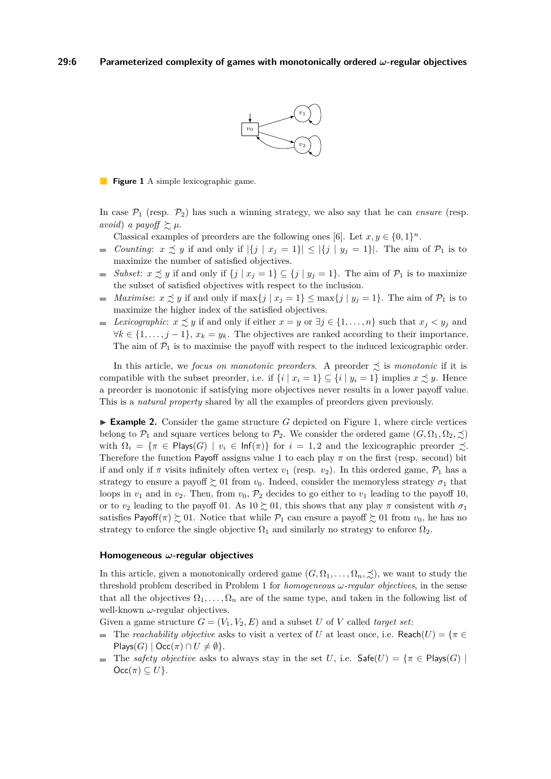

<span id="page-5-0"></span>**Figure 1** A simple lexicographic game.

In case  $P_1$  (resp.  $P_2$ ) has such a winning strategy, we also say that he can *ensure* (resp. *avoid*) *a payoff*  $\gtrsim \mu$ .

Classical examples of preorders are the following ones [\[6\]](#page-14-2). Let  $x, y \in \{0, 1\}^n$ .

- *Counting*:  $x \precsim y$  if and only if  $|\{j \mid x_j = 1\}| \leq |\{j \mid y_j = 1\}|$ . The aim of  $\mathcal{P}_1$  is to  $\mathcal{L}_{\mathcal{A}}$ maximize the number of satisfied objectives.
- *Subset*:  $x \preceq y$  if and only if  $\{j \mid x_j = 1\} \subseteq \{j \mid y_j = 1\}$ . The aim of  $\mathcal{P}_1$  is to maximize  $\mathcal{L}_{\mathcal{A}}$ the subset of satisfied objectives with respect to the inclusion.
- *Maximise:*  $x \precsim y$  if and only if  $\max\{j \mid x_j = 1\} \le \max\{j \mid y_j = 1\}$ . The aim of  $\mathcal{P}_1$  is to  $\blacksquare$ maximize the higher index of the satisfied objectives.
- *Lexicographic:*  $x \precsim y$  if and only if either  $x = y$  or  $\exists j \in \{1, ..., n\}$  such that  $x_j < y_j$  and  $\sim$  $∀k ∈ {1, ..., j − 1}, x<sub>k</sub> = y<sub>k</sub>$ . The objectives are ranked according to their importance. The aim of  $P_1$  is to maximise the payoff with respect to the induced lexicographic order.

In this article, we *focus on monotonic preorders*. A preorder  $\precsim$  is *monotonic* if it is compatible with the subset preorder, i.e. if  $\{i \mid x_i = 1\} \subseteq \{i \mid y_i = 1\}$  implies  $x \precsim y$ . Hence a preorder is monotonic if satisfying more objectives never results in a lower payoff value. This is a *natural property* shared by all the examples of preorders given previously.

 $\triangleright$  **Example 2.** Consider the game structure *G* depicted on Figure [1,](#page-5-0) where circle vertices belong to  $\mathcal{P}_1$  and square vertices belong to  $\mathcal{P}_2$ . We consider the ordered game  $(G, \Omega_1, \Omega_2, \preceq)$ with  $\Omega_i = \{\pi \in \text{Plays}(G) \mid v_i \in \text{Inf}(\pi)\}\$ for  $i = 1, 2$  and the lexicographic preorder  $\precsim$ . Therefore the function Payoff assigns value 1 to each play  $\pi$  on the first (resp. second) bit if and only if  $\pi$  visits infinitely often vertex  $v_1$  (resp.  $v_2$ ). In this ordered game,  $\mathcal{P}_1$  has a strategy to ensure a payoff  $\geq 01$  from  $v_0$ . Indeed, consider the memoryless strategy  $\sigma_1$  that loops in  $v_1$  and in  $v_2$ . Then, from  $v_0$ ,  $\mathcal{P}_2$  decides to go either to  $v_1$  leading to the payoff 10, or to  $v_2$  leading to the payoff 01. As  $10 \succeq 01$ , this shows that any play  $\pi$  consistent with  $\sigma_1$ satisfies Payoff( $\pi$ )  $\gtrsim$  01. Notice that while  $\mathcal{P}_1$  can ensure a payoff  $\gtrsim$  01 from  $v_0$ , he has no strategy to enforce the single objective  $\Omega_1$  and similarly no strategy to enforce  $\Omega_2$ .

### **Homogeneous** *ω***-regular objectives**

In this article, given a monotonically ordered game  $(G, \Omega_1, \ldots, \Omega_n, \preceq)$ , we want to study the threshold problem described in Problem [1](#page-4-2) for *homogeneous ω-regular objectives*, in the sense that all the objectives  $\Omega_1, \ldots, \Omega_n$  are of the same type, and taken in the following list of well-known *ω*-regular objectives.

Given a game structure  $G = (V_1, V_2, E)$  and a subset *U* of *V* called *target set*:

- The *reachability objective* asks to visit a vertex of *U* at least once, i.e. Reach(*U*) =  $\{\pi \in$  $Plays(G) | \text{Occ}(\pi) \cap U \neq \emptyset$ .
- The *safety objective* asks to always stay in the set *U*, i.e.  $\mathsf{Safe}(U) = \{\pi \in \mathsf{Plays}(G) \mid$  $Occ(\pi) \subseteq U$ .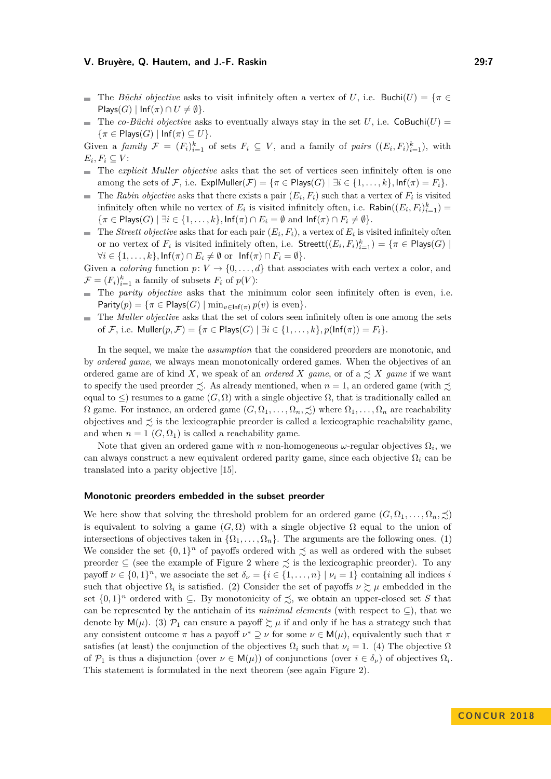- The *Büchi objective* asks to visit infinitely often a vertex of *U*, i.e. Buchi(*U*) =  $\{\pi \in$  $\mathsf{Plays}(G) \mid \mathsf{Inf}(\pi) \cap U \neq \emptyset$ .
- The *co-Büchi objective* asks to eventually always stay in the set *U*, i.e. CoBuchi(*U*) =  $\{\pi \in \text{Plays}(G) \mid \text{Inf}(\pi) \subseteq U\}.$

Given a *family*  $\mathcal{F} = (F_i)_{i=1}^k$  of sets  $F_i \subseteq V$ , and a family of *pairs*  $((E_i, F_i)_{i=1}^k)$ , with  $E_i, F_i \subseteq V$ :

- The *explicit Muller objective* asks that the set of vertices seen infinitely often is one among the sets of F, i.e.  $\text{ExplMuller}(\mathcal{F}) = \{\pi \in \text{Plays}(G) \mid \exists i \in \{1, \ldots, k\}, \text{Inf}(\pi) = F_i\}.$
- The *Rabin objective* asks that there exists a pair  $(E_i, F_i)$  such that a vertex of  $F_i$  is visited infinitely often while no vertex of  $E_i$  is visited infinitely often, i.e.  $\mathsf{Rabin}((E_i, F_i)_{i=1}^k)$  $\{\pi \in \text{Plays}(G) \mid \exists i \in \{1,\ldots,k\}, \text{Inf}(\pi) \cap E_i = \emptyset \text{ and } \text{Inf}(\pi) \cap F_i \neq \emptyset\}.$
- The *Streett objective* asks that for each pair  $(E_i, F_i)$ , a vertex of  $E_i$  is visited infinitely often or no vertex of  $F_i$  is visited infinitely often, i.e.  $\mathsf{Streett}((E_i, F_i)_{i=1}^k) = \{ \pi \in \mathsf{Plays}(G) \mid$  $\forall i \in \{1, \ldots, k\}, \text{Inf}(\pi) \cap E_i \neq \emptyset \text{ or } \text{Inf}(\pi) \cap F_i = \emptyset\}.$

Given a *coloring* function  $p: V \to \{0, \ldots, d\}$  that associates with each vertex a color, and  $\mathcal{F} = (F_i)_{i=1}^k$  a family of subsets  $F_i$  of  $p(V)$ :

- The *parity objective* asks that the minimum color seen infinitely often is even, i.e.  $\text{Parity}(p) = \{\pi \in \text{Plays}(G) \mid \min_{v \in \text{Inf}(\pi)} p(v) \text{ is even}\}.$
- The *Muller objective* asks that the set of colors seen infinitely often is one among the sets of F, i.e. Muller $(p, \mathcal{F}) = \{\pi \in \text{Plays}(G) \mid \exists i \in \{1, \dots, k\}, p(\text{Inf}(\pi)) = F_i\}.$

In the sequel, we make the *assumption* that the considered preorders are monotonic, and by *ordered game*, we always mean monotonically ordered games. When the objectives of an ordered game are of kind X, we speak of an *ordered* X game, or of a  $\precsim X$  game if we want to specify the used preorder  $\preceq$ . As already mentioned, when  $n = 1$ , an ordered game (with  $\preceq$ equal to  $\leq$ ) resumes to a game  $(G,\Omega)$  with a single objective  $\Omega$ , that is traditionally called an  $\Omega$  game. For instance, an ordered game  $(G, \Omega_1, \ldots, \Omega_n, \precsim)$  where  $\Omega_1, \ldots, \Omega_n$  are reachability objectives and  $\preceq$  is the lexicographic preorder is called a lexicographic reachability game, and when  $n = 1$   $(G, \Omega_1)$  is called a reachability game.

Note that given an ordered game with  $n$  non-homogeneous  $\omega$ -regular objectives  $\Omega_i$ , we can always construct a new equivalent ordered parity game, since each objective Ω*<sup>i</sup>* can be translated into a parity objective [\[15\]](#page-15-2).

### **Monotonic preorders embedded in the subset preorder**

We here show that solving the threshold problem for an ordered game  $(G, \Omega_1, \ldots, \Omega_n, \preceq)$ is equivalent to solving a game  $(G, \Omega)$  with a single objective  $\Omega$  equal to the union of intersections of objectives taken in  $\{\Omega_1, \ldots, \Omega_n\}$ . The arguments are the following ones. (1) We consider the set  $\{0,1\}$ <sup>n</sup> of payoffs ordered with  $\precsim$  as well as ordered with the subset preorder  $\subseteq$  (see the example of Figure [2](#page-7-2) where  $\precsim$  is the lexicographic preorder). To any payoff  $\nu \in \{0,1\}^n$ , we associate the set  $\delta_{\nu} = \{i \in \{1,\ldots,n\} \mid \nu_i = 1\}$  containing all indices *i* such that objective  $\Omega_i$  is satisfied. (2) Consider the set of payoffs  $\nu \gtrsim \mu$  embedded in the set  $\{0,1\}^n$  ordered with  $\subseteq$ . By monotonicity of  $\precsim$ , we obtain an upper-closed set *S* that can be represented by the antichain of its *minimal elements* (with respect to  $\subseteq$ ), that we denote by  $M(\mu)$ . (3)  $\mathcal{P}_1$  can ensure a payoff  $\sum \mu$  if and only if he has a strategy such that any consistent outcome  $\pi$  has a payoff  $\nu^* \supseteq \nu$  for some  $\nu \in M(\mu)$ , equivalently such that  $\pi$ satisfies (at least) the conjunction of the objectives  $\Omega_i$  such that  $\nu_i = 1$ . (4) The objective  $\Omega$ of  $\mathcal{P}_1$  is thus a disjunction (over  $\nu \in \mathsf{M}(\mu)$ ) of conjunctions (over  $i \in \delta_{\nu}$ ) of objectives  $\Omega_i$ . This statement is formulated in the next theorem (see again Figure [2\)](#page-7-2).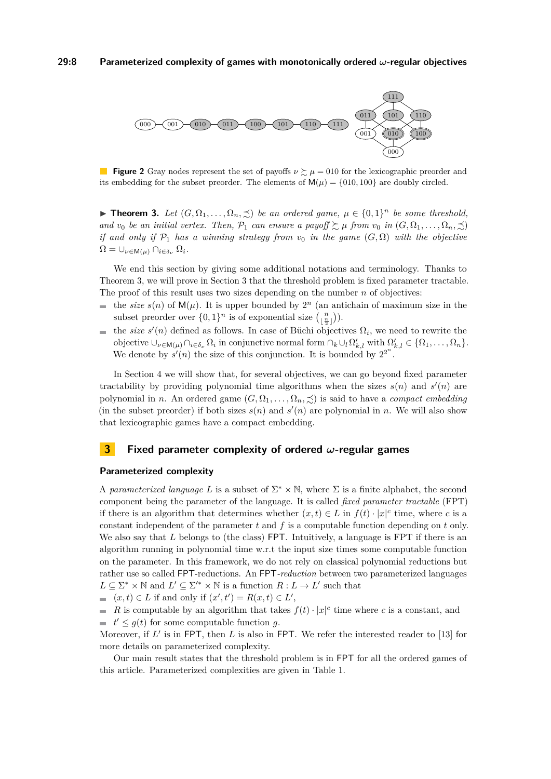<span id="page-7-2"></span>

**Figure 2** Gray nodes represent the set of payoffs  $\nu \gtrsim \mu = 010$  for the lexicographic preorder and its embedding for the subset preorder. The elements of  $M(\mu) = \{010, 100\}$  are doubly circled.

<span id="page-7-0"></span>**► Theorem 3.** Let  $(G, \Omega_1, \ldots, \Omega_n, \preceq)$  be an ordered game,  $\mu \in \{0, 1\}^n$  be some threshold, *and v*<sub>0</sub> *be an initial vertex. Then,*  $\mathcal{P}_1$  *can ensure a payoff*  $\succeq \mu$  *from v*<sub>0</sub> *in*  $(G, \Omega_1, \ldots, \Omega_n, \preceq)$ *if and only if*  $\mathcal{P}_1$  *has a winning strategy from*  $v_0$  *in the game*  $(G, \Omega)$  *with the objective*  $\Omega = \bigcup_{\nu \in \mathsf{M}(\mu)} \bigcap_{i \in \delta_{\nu}} \Omega_i$ .

We end this section by giving some additional notations and terminology. Thanks to Theorem [3,](#page-7-0) we will prove in Section [3](#page-7-1) that the threshold problem is fixed parameter tractable. The proof of this result uses two sizes depending on the number *n* of objectives:

- the *size*  $s(n)$  of  $M(\mu)$ . It is upper bounded by  $2^n$  (an antichain of maximum size in the subset preorder over  $\{0,1\}^n$  is of exponential size  $\binom{n}{\lfloor \frac{n}{2} \rfloor}$ .
- the *size*  $s'(n)$  defined as follows. In case of Büchi objectives  $\Omega_i$ , we need to rewrite the  $\blacksquare$ objective  $\cup_{\nu \in \mathsf{M}(\mu)} \cap_{i \in \delta_{\nu}} \Omega_i$  in conjunctive normal form  $\cap_k \cup_l \Omega'_{k,l}$  with  $\Omega'_{k,l} \in {\Omega_1, \ldots, \Omega_n}$ . We denote by  $s'(n)$  the size of this conjunction. It is bounded by  $2^{2^n}$ .

In Section [4](#page-10-1) we will show that, for several objectives, we can go beyond fixed parameter tractability by providing polynomial time algorithms when the sizes  $s(n)$  and  $s'(n)$  are polynomial in *n*. An ordered game  $(G, \Omega_1, \ldots, \Omega_n, \preceq)$  is said to have a *compact embedding* (in the subset preorder) if both sizes  $s(n)$  and  $s'(n)$  are polynomial in *n*. We will also show that lexicographic games have a compact embedding.

### <span id="page-7-1"></span>**3 Fixed parameter complexity of ordered** *ω***-regular games**

### **Parameterized complexity**

A *parameterized language* L is a subset of  $\Sigma^* \times \mathbb{N}$ , where  $\Sigma$  is a finite alphabet, the second component being the parameter of the language. It is called *fixed parameter tractable* (FPT) if there is an algorithm that determines whether  $(x,t) \in L$  in  $f(t) \cdot |x|^c$  time, where *c* is a constant independent of the parameter *t* and *f* is a computable function depending on *t* only. We also say that *L* belongs to (the class) FPT. Intuitively, a language is FPT if there is an algorithm running in polynomial time w.r.t the input size times some computable function on the parameter. In this framework, we do not rely on classical polynomial reductions but rather use so called FPT-reductions. An FPT*-reduction* between two parameterized languages  $L \subseteq \Sigma^* \times \mathbb{N}$  and  $L' \subseteq \Sigma'^* \times \mathbb{N}$  is a function  $R: L \to L'$  such that

 $(x, t) \in L$  if and only if  $(x', t') = R(x, t) \in L'$ ,

*R* is computable by an algorithm that takes  $f(t) \cdot |x|^c$  time where *c* is a constant, and  $t' \leq g(t)$  for some computable function *g*.

Moreover, if  $L'$  is in FPT, then  $L$  is also in FPT. We refer the interested reader to [\[13\]](#page-15-8) for more details on parameterized complexity.

Our main result states that the threshold problem is in FPT for all the ordered games of this article. Parameterized complexities are given in Table [1.](#page-8-2)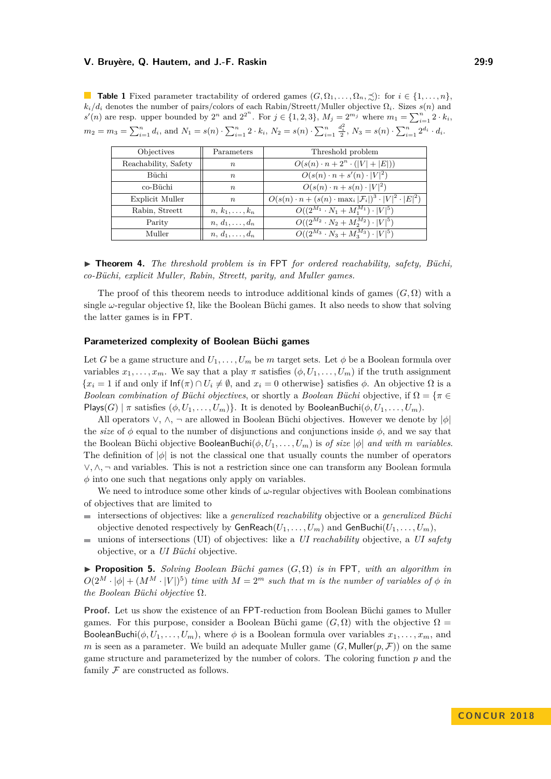<span id="page-8-2"></span>**Table 1** Fixed parameter tractability of ordered games  $(G, \Omega_1, \ldots, \Omega_n, \preceq)$ : for  $i \in \{1, \ldots, n\}$ ,  $k_i/d_i$  denotes the number of pairs/colors of each Rabin/Streett/Muller objective  $\Omega_i$ . Sizes *s*(*n*) and  $s'(n)$  are resp. upper bounded by  $2^n$  and  $2^{2^n}$ . For  $j \in \{1, 2, 3\}$ ,  $M_j = 2^{m_j}$  where  $m_1 = \sum_{i=1}^n 2 \cdot k_i$ ,  $m_2 = m_3 = \sum_{i=1}^n d_i$ , and  $N_1 = s(n) \cdot \sum_{i=1}^n 2 \cdot k_i$ ,  $N_2 = s(n) \cdot \sum_{i=1}^n$  $\frac{d_i^2}{2}$ ,  $N_3 = s(n) \cdot \sum_{i=1}^n 2^{d_i} \cdot d_i$ .

| Objectives             | Parameters            | Threshold problem                                                                 |  |  |
|------------------------|-----------------------|-----------------------------------------------------------------------------------|--|--|
| Reachability, Safety   | $\boldsymbol{n}$      | $O(s(n) \cdot n + 2^n \cdot ( V  +  E ))$                                         |  |  |
| Büchi                  | $\boldsymbol{n}$      | $O(s(n) \cdot n + s'(n) \cdot  V ^2)$                                             |  |  |
| co-Büchi               | $\boldsymbol{n}$      | $O(s(n) \cdot n + s(n) \cdot  V ^2)$                                              |  |  |
| <b>Explicit Muller</b> | $\boldsymbol{n}$      | $O(s(n) \cdot n + (s(n) \cdot \max_i  \mathcal{F}_i )^3 \cdot  V ^2 \cdot  E ^2)$ |  |  |
| Rabin, Streett         | $n, k_1, \ldots, k_n$ | $O((2^{M_1} \cdot N_1 + M_1^{M_1}) \cdot  V ^5)$                                  |  |  |
| Parity                 | $n, d_1, \ldots, d_n$ | $O((2^{M_2} \cdot N_2 + M_2^{M_2}) \cdot  V ^5)$                                  |  |  |
| Muller                 | $n, d_1, \ldots, d_n$ | $O((2^{M_3} \cdot N_3 + M_3^{M_3}) \cdot  V ^5)$                                  |  |  |

<span id="page-8-0"></span>▶ **Theorem 4.** *The threshold problem is in* FPT *for ordered reachability, safety, Büchi, co-Büchi, explicit Muller, Rabin, Streett, parity, and Muller games.*

The proof of this theorem needs to introduce additional kinds of games  $(G, \Omega)$  with a single  $\omega$ -regular objective  $\Omega$ , like the Boolean Büchi games. It also needs to show that solving the latter games is in FPT.

### **Parameterized complexity of Boolean Büchi games**

Let *G* be a game structure and  $U_1, \ldots, U_m$  be *m* target sets. Let  $\phi$  be a Boolean formula over variables  $x_1, \ldots, x_m$ . We say that a play  $\pi$  satisfies  $(\phi, U_1, \ldots, U_m)$  if the truth assignment  ${x_i = 1$  if and only if  $\text{Inf}(\pi) \cap U_i \neq \emptyset$ , and  $x_i = 0$  otherwise} satisfies  $\phi$ . An objective  $\Omega$  is a *Boolean combination of Büchi objectives*, or shortly a *Boolean Büchi* objective, if  $\Omega = \{ \pi \in \mathbb{R}^n : \pi \in \mathbb{R}^n \}$ Plays(*G*) | *π* satisfies  $(\phi, U_1, \ldots, U_m)$ }. It is denoted by BooleanBuchi( $\phi, U_1, \ldots, U_m$ ).

All operators ∨, ∧, ¬ are allowed in Boolean Büchi objectives. However we denote by |*φ*| the *size* of  $\phi$  equal to the number of disjunctions and conjunctions inside  $\phi$ , and we say that the Boolean Büchi objective BooleanBuchi( $\phi$ ,  $U_1, \ldots, U_m$ ) is *of size*  $|\phi|$  *and with m variables.* The definition of  $|\phi|$  is not the classical one that usually counts the number of operators ∨*,* ∧*,* ¬ and variables. This is not a restriction since one can transform any Boolean formula  $\phi$  into one such that negations only apply on variables.

We need to introduce some other kinds of *ω*-regular objectives with Boolean combinations of objectives that are limited to

- intersections of objectives: like a *generalized reachability* objective or a *generalized Büchi* objective denoted respectively by  $\mathsf{GenReach}(U_1, \ldots, U_m)$  and  $\mathsf{GenBuchi}(U_1, \ldots, U_m)$ ,
- unions of intersections (UI) of objectives: like a *UI reachability* objective, a *UI safety*  $\mathbf{r}$ objective, or a *UI Büchi* objective.

<span id="page-8-1"></span>**Proposition 5.** *Solving Boolean Büchi games*  $(G, \Omega)$  *is in* FPT, with an algorithm in  $O(2^M \cdot |\phi| + (M^M \cdot |V|)^5)$  *time with*  $M = 2^m$  *such that m is the number of variables of*  $\phi$  *in the Boolean Büchi objective* Ω*.*

**Proof.** Let us show the existence of an FPT-reduction from Boolean Büchi games to Muller games. For this purpose, consider a Boolean Büchi game  $(G, \Omega)$  with the objective  $\Omega =$ BooleanBuchi( $\phi, U_1, \ldots, U_m$ ), where  $\phi$  is a Boolean formula over variables  $x_1, \ldots, x_m$ , and *m* is seen as a parameter. We build an adequate Muller game  $(G, \text{Muller}(p, \mathcal{F}))$  on the same game structure and parameterized by the number of colors. The coloring function *p* and the family  $\mathcal F$  are constructed as follows.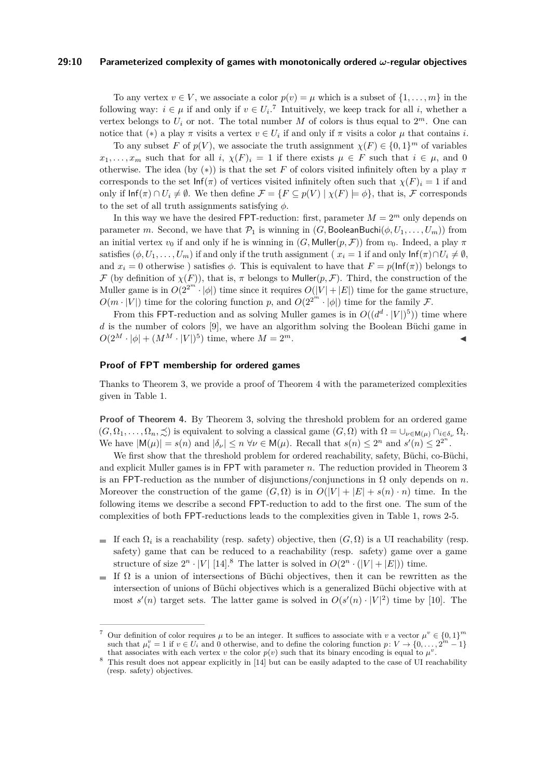#### **29:10 Parameterized complexity of games with monotonically ordered** *ω***-regular objectives**

To any vertex  $v \in V$ , we associate a color  $p(v) = \mu$  which is a subset of  $\{1, \ldots, m\}$  in the following way:  $i \in \mu$  if and only if  $v \in U_i$ .<sup>[7](#page-9-0)</sup> Intuitively, we keep track for all *i*, whether a vertex belongs to  $U_i$  or not. The total number  $M$  of colors is thus equal to  $2^m$ . One can notice that  $(*)$  a play  $\pi$  visits a vertex  $v \in U_i$  if and only if  $\pi$  visits a color  $\mu$  that contains *i*.

To any subset *F* of  $p(V)$ , we associate the truth assignment  $\chi(F) \in \{0,1\}^m$  of variables  $x_1, \ldots, x_m$  such that for all *i*,  $\chi(F)_i = 1$  if there exists  $\mu \in F$  such that  $i \in \mu$ , and 0 otherwise. The idea (by  $(*)$ ) is that the set *F* of colors visited infinitely often by a play  $\pi$ corresponds to the set  $\text{Inf}(\pi)$  of vertices visited infinitely often such that  $\chi(F)_i = 1$  if and only if  $\text{Inf}(\pi) \cap U_i \neq \emptyset$ . We then define  $\mathcal{F} = \{F \subseteq p(V) \mid \chi(F) \models \phi\}$ , that is, F corresponds to the set of all truth assignments satisfying *φ*.

In this way we have the desired FPT-reduction: first, parameter  $M = 2^m$  only depends on parameter *m*. Second, we have that  $\mathcal{P}_1$  is winning in  $(G, \text{BooleanBuchi}(\phi, U_1, \ldots, U_m))$  from an initial vertex  $v_0$  if and only if he is winning in  $(G, \text{Muller}(p, \mathcal{F}))$  from  $v_0$ . Indeed, a play  $\pi$ satisfies  $(\phi, U_1, \ldots, U_m)$  if and only if the truth assignment ( $x_i = 1$  if and only  $\text{Inf}(\pi) \cap U_i \neq \emptyset$ , and  $x_i = 0$  otherwise) satisfies  $\phi$ . This is equivalent to have that  $F = p(\ln f(\pi))$  belongs to  $\mathcal F$  (by definition of  $\chi(F)$ ), that is,  $\pi$  belongs to Muller( $p, \mathcal F$ ). Third, the construction of the Muller game is in  $O(2^{2^m} \cdot |\phi|)$  time since it requires  $O(|V| + |E|)$  time for the game structure,  $O(m \cdot |V|)$  time for the coloring function *p*, and  $O(2^{2^m} \cdot |\phi|)$  time for the family *F*.

From this FPT-reduction and as solving Muller games is in  $O((d^d \cdot |V|)^5)$  time where *d* is the number of colors [\[9\]](#page-14-3), we have an algorithm solving the Boolean Büchi game in  $O(2^M \cdot |\phi| + (M^M \cdot |V|)^5)$  time, where  $M = 2^m$ .

### **Proof of FPT membership for ordered games**

Thanks to Theorem [3,](#page-7-0) we provide a proof of Theorem [4](#page-8-0) with the parameterized complexities given in Table [1.](#page-8-2)

**Proof of Theorem [4.](#page-8-0)** By Theorem [3,](#page-7-0) solving the threshold problem for an ordered game  $(G, \Omega_1, \ldots, \Omega_n, \preceq)$  is equivalent to solving a classical game  $(G, \Omega)$  with  $\Omega = \bigcup_{\nu \in \mathsf{M}(\mu)} \bigcap_{i \in \delta_{\nu}} \Omega_i$ . We have  $|M(\mu)| = s(n)$  and  $|\delta_{\nu}| \leq n \,\forall \nu \in M(\mu)$ . Recall that  $s(n) \leq 2^n$  and  $s'(n) \leq 2^{2^n}$ .

We first show that the threshold problem for ordered reachability, safety, Büchi, co-Büchi, and explicit Muller games is in FPT with parameter *n*. The reduction provided in Theorem [3](#page-7-0) is an FPT-reduction as the number of disjunctions/conjunctions in  $\Omega$  only depends on *n*. Moreover the construction of the game  $(G, \Omega)$  is in  $O(|V| + |E| + s(n) \cdot n)$  time. In the following items we describe a second FPT-reduction to add to the first one. The sum of the complexities of both FPT-reductions leads to the complexities given in Table [1,](#page-8-2) rows 2-5.

- If each  $\Omega_i$  is a reachability (resp. safety) objective, then  $(G, \Omega)$  is a UI reachability (resp. safety) game that can be reduced to a reachability (resp. safety) game over a game structure of size  $2^n \cdot |V|$  [\[14\]](#page-15-9).<sup>[8](#page-9-1)</sup> The latter is solved in  $O(2^n \cdot (|V| + |E|))$  time.
- If  $\Omega$  is a union of intersections of Büchi objectives, then it can be rewritten as the intersection of unions of Büchi objectives which is a generalized Büchi objective with at most  $s'(n)$  target sets. The latter game is solved in  $O(s'(n) \cdot |V|^2)$  time by [\[10\]](#page-14-9). The

<span id="page-9-0"></span><sup>&</sup>lt;sup>7</sup> Our definition of color requires  $\mu$  to be an integer. It suffices to associate with *v* a vector  $\mu^v \in \{0,1\}^m$ such that  $\mu_i^v = 1$  if  $v \in U_i$  and 0 otherwise, and to define the coloring function  $p: V \to \{0, \ldots, 2\}$  $-1$ } that associates with each vertex *v* the color  $p(v)$  such that its binary encoding is equal to  $\mu^v$ .

<span id="page-9-1"></span><sup>&</sup>lt;sup>8</sup> This result does not appear explicitly in [\[14\]](#page-15-9) but can be easily adapted to the case of UI reachability (resp. safety) objectives.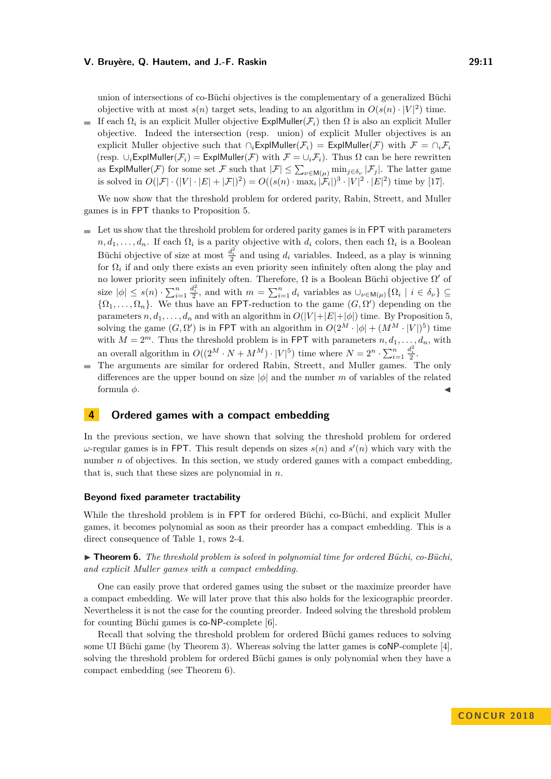union of intersections of co-Büchi objectives is the complementary of a generalized Büchi objective with at most  $s(n)$  target sets, leading to an algorithm in  $O(s(n) \cdot |V|^2)$  time.

If each  $\Omega_i$  is an explicit Muller objective  $\textsf{ExplMuller}(\mathcal{F}_i)$  then  $\Omega$  is also an explicit Muller  $\sim$ objective. Indeed the intersection (resp. union) of explicit Muller objectives is an explicit Muller objective such that  $\cap_i$ ExplMuller( $\mathcal{F}_i$ ) = ExplMuller( $\mathcal{F}$ ) with  $\mathcal{F} = \cap_i \mathcal{F}_i$ (resp.  $\cup_i$ ExplMuller( $\mathcal{F}_i$ ) = ExplMuller( $\mathcal{F}$ ) with  $\mathcal{F} = \cup_i \mathcal{F}_i$ ). Thus  $\Omega$  can be here rewritten as  $\textsf{ExplMuller}(\mathcal{F})$  for some set  $\mathcal F$  such that  $|\mathcal F|\leq \sum_{\nu\in\mathsf M(\mu)}\min_{j\in\delta_\nu}|\mathcal F_j|$ . The latter game is solved in  $O(|\mathcal{F}| \cdot (|V| \cdot |\mathcal{E}| + |\mathcal{F}|)^2) = O((s(n) \cdot \max_i |\mathcal{F}_i|)^3 \cdot |V|^2 \cdot |\mathcal{E}|^2)$  time by [\[17\]](#page-15-10).

We now show that the threshold problem for ordered parity, Rabin, Streett, and Muller games is in FPT thanks to Proposition [5.](#page-8-1)

- $\blacksquare$  Let us show that the threshold problem for ordered parity games is in FPT with parameters  $n, d_1, \ldots, d_n$ . If each  $\Omega_i$  is a parity objective with  $d_i$  colors, then each  $\Omega_i$  is a Boolean Büchi objective of size at most  $\frac{d_i^2}{2}$  and using  $d_i$  variables. Indeed, as a play is winning for  $\Omega_i$  if and only there exists an even priority seen infinitely often along the play and no lower priority seen infinitely often. Therefore,  $\Omega$  is a Boolean Büchi objective  $\Omega'$  of size  $|\phi| \leq s(n) \cdot \sum_{i=1}^n$  $\frac{d_i^2}{2}$ , and with  $m = \sum_{i=1}^n d_i$  variables as  $\bigcup_{\nu \in \mathsf{M}(\mu)} {\Omega_i \mid i \in \delta_{\nu}} \subseteq$  $\{\Omega_1, \ldots, \Omega_n\}$ . We thus have an FPT-reduction to the game  $(G, \Omega')$  depending on the parameters  $n, d_1, \ldots, d_n$  and with an algorithm in  $O(|V|+|E|+|\phi|)$  time. By Proposition [5,](#page-8-1) solving the game  $(G, \Omega')$  is in FPT with an algorithm in  $O(2^M \cdot |\phi| + (M^M \cdot |V|)^5)$  time with  $M = 2^m$ . Thus the threshold problem is in FPT with parameters  $n, d_1, \ldots, d_n$ , with an overall algorithm in  $O((2^M \cdot N + M^M) \cdot |V|^5)$  time where  $N = 2^n \cdot \sum_{i=1}^n$  $\frac{d_i^2}{2}$ .
- The arguments are similar for ordered Rabin, Streett, and Muller games. The only differences are the upper bound on size |*φ*| and the number *m* of variables of the related formula  $\phi$ .

### <span id="page-10-1"></span>**4 Ordered games with a compact embedding**

In the previous section, we have shown that solving the threshold problem for ordered  $\omega$ -regular games is in FPT. This result depends on sizes  $s(n)$  and  $s'(n)$  which vary with the number *n* of objectives. In this section, we study ordered games with a compact embedding, that is, such that these sizes are polynomial in *n*.

### **Beyond fixed parameter tractability**

While the threshold problem is in FPT for ordered Büchi, co-Büchi, and explicit Muller games, it becomes polynomial as soon as their preorder has a compact embedding. This is a direct consequence of Table [1,](#page-8-2) rows 2-4.

<span id="page-10-0"></span>► **Theorem 6.** *The threshold problem is solved in polynomial time for ordered Büchi, co-Büchi, and explicit Muller games with a compact embedding.*

One can easily prove that ordered games using the subset or the maximize preorder have a compact embedding. We will later prove that this also holds for the lexicographic preorder. Nevertheless it is not the case for the counting preorder. Indeed solving the threshold problem for counting Büchi games is co-NP-complete [\[6\]](#page-14-2).

Recall that solving the threshold problem for ordered Büchi games reduces to solving some UI Büchi game (by Theorem [3\)](#page-7-0). Whereas solving the latter games is coNP-complete [\[4\]](#page-14-10), solving the threshold problem for ordered Büchi games is only polynomial when they have a compact embedding (see Theorem [6\)](#page-10-0).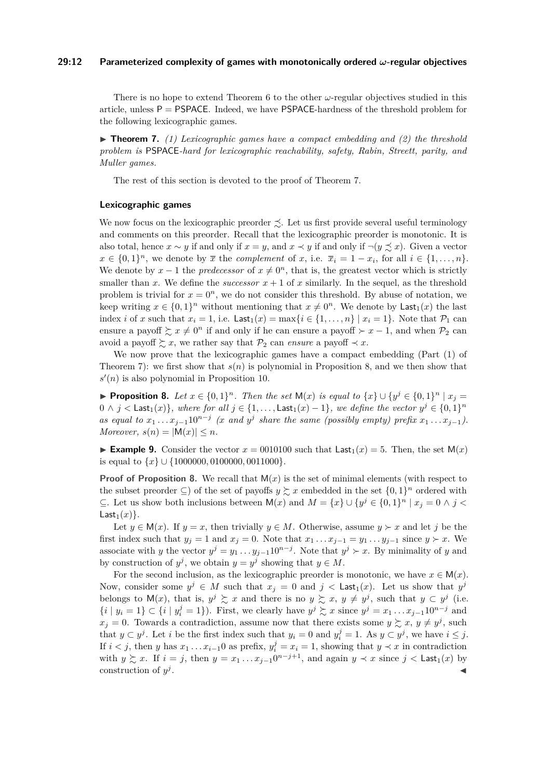### **29:12 Parameterized complexity of games with monotonically ordered** *ω***-regular objectives**

There is no hope to extend Theorem [6](#page-10-0) to the other *ω*-regular objectives studied in this article, unless  $P = PSPACE$ . Indeed, we have PSPACE-hardness of the threshold problem for the following lexicographic games.

<span id="page-11-0"></span> $\triangleright$  **Theorem 7.** (1) Lexicographic games have a compact embedding and (2) the threshold *problem is* PSPACE*-hard for lexicographic reachability, safety, Rabin, Streett, parity, and Muller games.*

The rest of this section is devoted to the proof of Theorem [7.](#page-11-0)

#### **Lexicographic games**

We now focus on the lexicographic preorder  $\preceq$ . Let us first provide several useful terminology and comments on this preorder. Recall that the lexicographic preorder is monotonic. It is also total, hence  $x \sim y$  if and only if  $x = y$ , and  $x \prec y$  if and only if  $\neg(y \precsim x)$ . Given a vector  $x \in \{0,1\}^n$ , we denote by  $\overline{x}$  the *complement* of *x*, i.e.  $\overline{x}_i = 1 - x_i$ , for all  $i \in \{1, \ldots, n\}$ . We denote by  $x - 1$  the *predecessor* of  $x \neq 0<sup>n</sup>$ , that is, the greatest vector which is strictly smaller than x. We define the *successor*  $x + 1$  of x similarly. In the sequel, as the threshold problem is trivial for  $x = 0<sup>n</sup>$ , we do not consider this threshold. By abuse of notation, we keep writing  $x \in \{0,1\}^n$  without mentioning that  $x \neq 0^n$ . We denote by Last<sub>1</sub>(*x*) the last index *i* of *x* such that  $x_i = 1$ , i.e. Last $\{x_i = 1, \ldots, n\}$   $x_i = 1$ . Note that  $\mathcal{P}_1$  can ensure a payoff  $\sum x \neq 0^n$  if and only if he can ensure a payoff  $\succ x - 1$ , and when  $\mathcal{P}_2$  can avoid a payoff  $\succsim x$ , we rather say that  $\mathcal{P}_2$  can *ensure* a payoff  $\prec x$ .

We now prove that the lexicographic games have a compact embedding (Part (1) of Theorem [7\)](#page-11-0): we first show that  $s(n)$  is polynomial in Proposition [8,](#page-11-1) and we then show that  $s'(n)$  is also polynomial in Proposition [10.](#page-12-0)

<span id="page-11-1"></span>▶ **Proposition 8.** Let  $x \in \{0,1\}^n$ . Then the set  $M(x)$  is equal to  $\{x\} \cup \{y^j \in \{0,1\}^n \mid x_j =$  $0 \wedge j <$  Last $_1(x)$ }, where for all  $j \in \{1, \ldots, \textsf{Last}_1(x) - 1\}$ , we define the vector  $y^j \in \{0, 1\}^n$ *as equal to*  $x_1 \ldots x_{j-1} 10^{n-j}$  (*x and*  $y^j$  *share the same (possibly empty) prefix*  $x_1 \ldots x_{j-1}$ ). *Moreover,*  $s(n) = |M(x)| \leq n$ *.* 

**Example 9.** Consider the vector  $x = 0010100$  such that  $\text{Last}_1(x) = 5$ . Then, the set  $M(x)$ is equal to {*x*} ∪ {1000000*,* 0100000*,* 0011000}.

**Proof of Proposition [8.](#page-11-1)** We recall that  $M(x)$  is the set of minimal elements (with respect to the subset preorder  $\subseteq$ ) of the set of payoffs  $y \succsim x$  embedded in the set  $\{0,1\}^n$  ordered with ⊆. Let us show both inclusions between  $M(x)$  and  $M = \{x\} \cup \{y^j \in \{0,1\}^n \mid x_j = 0 \land j < j\}$ Last<sub>1</sub> $(x)$ .

Let  $y \in M(x)$ . If  $y = x$ , then trivially  $y \in M$ . Otherwise, assume  $y \succ x$  and let *j* be the first index such that  $y_j = 1$  and  $x_j = 0$ . Note that  $x_1 \dots x_{j-1} = y_1 \dots y_{j-1}$  since  $y \succ x$ . We associate with *y* the vector  $y^j = y_1 \dots y_{j-1} 10^{n-j}$ . Note that  $y^j \succ x$ . By minimality of *y* and by construction of  $y^j$ , we obtain  $y = y^j$  showing that  $y \in M$ .

For the second inclusion, as the lexicographic preorder is monotonic, we have  $x \in M(x)$ . Now, consider some  $y^j \in M$  such that  $x_j = 0$  and  $j <$  Last<sub>1</sub>(*x*). Let us show that  $y^j$ belongs to  $M(x)$ , that is,  $y^j \succeq x$  and there is no  $y \succeq x$ ,  $y \neq y^j$ , such that  $y \subset y^j$  (i.e.  $\{i \mid y_i = 1\} \subset \{i \mid y_i^j = 1\}$ . First, we clearly have  $y^j \succsim x$  since  $y^j = x_1 \dots x_{j-1} 10^{n-j}$  and  $x_j = 0$ . Towards a contradiction, assume now that there exists some  $y \succsim x$ ,  $y \neq y^j$ , such that  $y \subset y^j$ . Let *i* be the first index such that  $y_i = 0$  and  $y_i^j = 1$ . As  $y \subset y^j$ , we have  $i \leq j$ . If  $i < j$ , then *y* has  $x_1 \ldots x_{i-1}$  as prefix,  $y_i^j = x_i = 1$ , showing that  $y \prec x$  in contradiction with  $y \succeq x$ . If  $i = j$ , then  $y = x_1 \dots x_{j-1} 0^{n-j+1}$ , and again  $y \prec x$  since  $j <$  Last<sub>1</sub>(*x*) by construction of *y j* . January 1980, and the control of the control of the control of the control of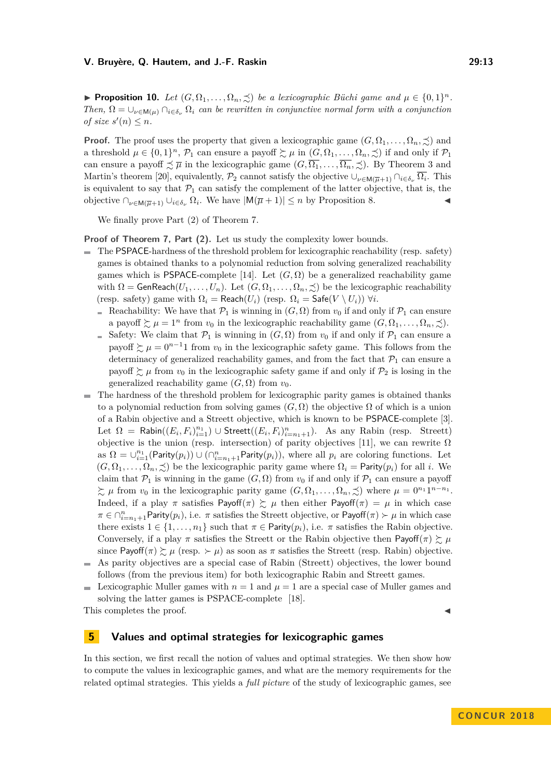<span id="page-12-0"></span>**Proposition 10.** *Let*  $(G, \Omega_1, \ldots, \Omega_n, \preceq)$  *be a lexicographic Büchi game and*  $\mu \in \{0, 1\}^n$ *. Then,*  $\Omega = \bigcup_{\nu \in M(\mu)} \bigcap_{i \in \delta_{\nu}} \Omega_i$  *can be rewritten in conjunctive normal form with a conjunction of size*  $s'(n) \leq n$ *.* 

**Proof.** The proof uses the property that given a lexicographic game  $(G, \Omega_1, \ldots, \Omega_n, \preceq)$  and a threshold  $\mu \in \{0,1\}^n$ ,  $\mathcal{P}_1$  can ensure a payoff  $\succsim \mu$  in  $(G, \Omega_1, \ldots, \Omega_n, \preceq)$  if and only if  $\mathcal{P}_1$ can ensure a payoff  $\precsim \overline{\mu}$  in the lexicographic game  $(G, \overline{\Omega_1}, \ldots, \overline{\Omega_n}, \precsim)$ . By Theorem [3](#page-7-0) and Martin's theorem [\[20\]](#page-15-7), equivalently,  $\mathcal{P}_2$  cannot satisfy the objective  $\cup_{\nu \in \mathsf{M}(\overline{\mu}+1)} \cap_{i \in \delta_{\nu}} \overline{\Omega_i}$ . This is equivalent to say that  $\mathcal{P}_1$  can satisfy the complement of the latter objective, that is, the objective  $\bigcap_{\nu \in M(\overline{\mu}+1)} \bigcup_{i \in \delta_{\nu}} \Omega_i$ . We have  $|M(\overline{\mu}+1)| \leq n$  by Proposition [8.](#page-11-1)  $\triangleleft$ 

We finally prove Part (2) of Theorem [7.](#page-11-0)

**Proof of Theorem [7,](#page-11-0) Part (2).** Let us study the complexity lower bounds.

- $\overline{a}$ The PSPACE-hardness of the threshold problem for lexicographic reachability (resp. safety) games is obtained thanks to a polynomial reduction from solving generalized reachability games which is PSPACE-complete [\[14\]](#page-15-9). Let  $(G, \Omega)$  be a generalized reachability game with  $\Omega = \text{GenReach}(U_1, \ldots, U_n)$ . Let  $(G, \Omega_1, \ldots, \Omega_n, \preceq)$  be the lexicographic reachability (resp. safety) game with  $\Omega_i = \text{Reach}(U_i)$  (resp.  $\Omega_i = \text{Safe}(V \setminus U_i)$ )  $\forall i$ .
	- Reachability: We have that  $\mathcal{P}_1$  is winning in  $(G,\Omega)$  from  $v_0$  if and only if  $\mathcal{P}_1$  can ensure a payoff  $\succsim \mu = 1^n$  from  $v_0$  in the lexicographic reachability game  $(G, \Omega_1, \ldots, \Omega_n, \preceq)$ .
	- Safety: We claim that  $\mathcal{P}_1$  is winning in  $(G,\Omega)$  from  $v_0$  if and only if  $\mathcal{P}_1$  can ensure a payoff  $\sum \mu = 0^{n-1}1$  from  $v_0$  in the lexicographic safety game. This follows from the determinacy of generalized reachability games, and from the fact that  $\mathcal{P}_1$  can ensure a payoff  $\succeq \mu$  from  $v_0$  in the lexicographic safety game if and only if  $\mathcal{P}_2$  is losing in the generalized reachability game  $(G, \Omega)$  from  $v_0$ .
- The hardness of the threshold problem for lexicographic parity games is obtained thanks to a polynomial reduction from solving games  $(G, \Omega)$  the objective  $\Omega$  of which is a union of a Rabin objective and a Streett objective, which is known to be PSPACE-complete [\[3\]](#page-14-11). Let  $\Omega$  = Rabin( $(E_i, F_i)_{i=1}^{n_1}$ ) ∪ Streett( $(E_i, F_i)_{i=n_1+1}^n$ ). As any Rabin (resp. Streett) objective is the union (resp. intersection) of parity objectives [\[11\]](#page-14-0), we can rewrite  $\Omega$ as  $\Omega = \bigcup_{i=1}^{n_1} (Parity(p_i)) \cup (\bigcap_{i=n_1+1}^{n} Parity(p_i)),$  where all  $p_i$  are coloring functions. Let  $(G, \Omega_1, \ldots, \Omega_n, \preceq)$  be the lexicographic parity game where  $\Omega_i =$  Parity $(p_i)$  for all *i*. We claim that  $\mathcal{P}_1$  is winning in the game  $(G,\Omega)$  from  $v_0$  if and only if  $\mathcal{P}_1$  can ensure a payoff  $\sum \mu$  from  $v_0$  in the lexicographic parity game  $(G, \Omega_1, \ldots, \Omega_n, \preceq)$  where  $\mu = 0^{n_1} 1^{n-n_1}$ . Indeed, if a play  $\pi$  satisfies Payoff( $\pi$ )  $\geq \mu$  then either Payoff( $\pi$ ) =  $\mu$  in which case  $\pi \in \cap_{i=n_1+1}^n$ Parity $(p_i)$ , i.e.  $\pi$  satisfies the Streett objective, or Payoff $(\pi) \succ \mu$  in which case there exists  $1 \in \{1, \ldots, n_1\}$  such that  $\pi \in$  Parity $(p_i)$ , i.e.  $\pi$  satisfies the Rabin objective. Conversely, if a play  $\pi$  satisfies the Streett or the Rabin objective then Payoff( $\pi$ )  $\succsim \mu$ since Payoff( $\pi$ )  $\succsim \mu$  (resp.  $\succ \mu$ ) as soon as  $\pi$  satisfies the Streett (resp. Rabin) objective.
- As parity objectives are a special case of Rabin (Streett) objectives, the lower bound follows (from the previous item) for both lexicographic Rabin and Streett games.
- Lexicographic Muller games with  $n = 1$  and  $\mu = 1$  are a special case of Muller games and  $\sim$ solving the latter games is PSPACE-complete [\[18\]](#page-15-11).

This completes the proof.

### **5 Values and optimal strategies for lexicographic games**

In this section, we first recall the notion of values and optimal strategies. We then show how to compute the values in lexicographic games, and what are the memory requirements for the related optimal strategies. This yields a *full picture* of the study of lexicographic games, see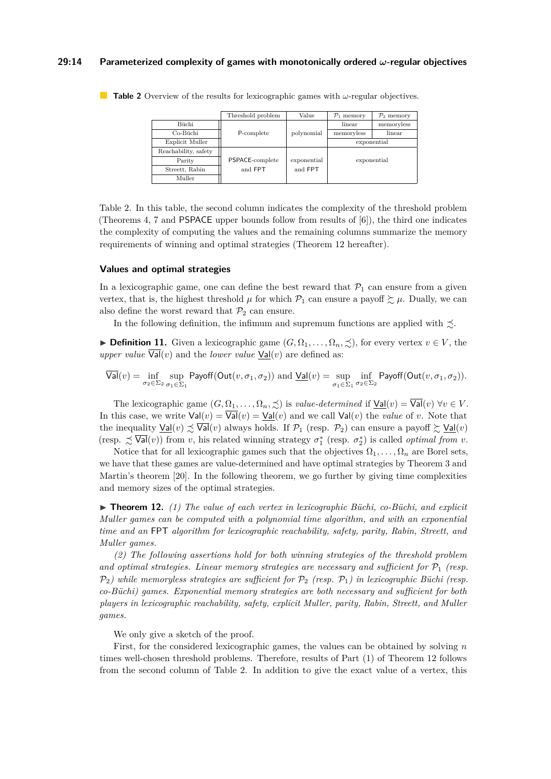### **29:14 Parameterized complexity of games with monotonically ordered** *ω***-regular objectives**

|                      | Threshold problem | Value       | $\mathcal{P}_1$ memory | $\mathcal{P}_2$ memory |
|----------------------|-------------------|-------------|------------------------|------------------------|
| Büchi                |                   |             | linear                 | memoryless             |
| Co-Büchi             | P-complete        | polynomial  | memoryless             | linear                 |
| Explicit Muller      |                   |             | exponential            |                        |
| Reachability, safety |                   |             |                        |                        |
| Parity               | PSPACE-complete   | exponential | exponential            |                        |
| Streett, Rabin       | and FPT           | and FPT     |                        |                        |
| Muller               |                   |             |                        |                        |

<span id="page-13-0"></span>**Table 2** Overview of the results for lexicographic games with *ω*-regular objectives.

Table [2.](#page-13-0) In this table, the second column indicates the complexity of the threshold problem (Theorems [4,](#page-8-0) [7](#page-11-0) and PSPACE upper bounds follow from results of [\[6\]](#page-14-2)), the third one indicates the complexity of computing the values and the remaining columns summarize the memory requirements of winning and optimal strategies (Theorem [12](#page-13-1) hereafter).

#### **Values and optimal strategies**

In a lexicographic game, one can define the best reward that  $\mathcal{P}_1$  can ensure from a given vertex, that is, the highest threshold  $\mu$  for which  $\mathcal{P}_1$  can ensure a payoff  $\succsim \mu$ . Dually, we can also define the worst reward that  $\mathcal{P}_2$  can ensure.

In the following definition, the infimum and supremum functions are applied with  $\lesssim$ .

**► Definition 11.** Given a lexicographic game  $(G, \Omega_1, \ldots, \Omega_n, \preceq)$ , for every vertex  $v \in V$ , the *upper value*  $\overline{\text{Val}}(v)$  and the *lower value*  $\underline{\text{Val}}(v)$  are defined as:

$$
\overline{\mathsf{Val}}(v) = \inf_{\sigma_2 \in \Sigma_2} \sup_{\sigma_1 \in \Sigma_1} \mathsf{Payoff}(\mathsf{Out}(v, \sigma_1, \sigma_2)) \text{ and } \underline{\mathsf{Val}}(v) = \sup_{\sigma_1 \in \Sigma_1} \inf_{\sigma_2 \in \Sigma_2} \mathsf{Payoff}(\mathsf{Out}(v, \sigma_1, \sigma_2)).
$$

The lexicographic game  $(G, \Omega_1, \ldots, \Omega_n, \preceq)$  is *value-determined* if  $\underline{\mathsf{Val}}(v) = \overline{\mathsf{Val}}(v) \ \forall v \in V$ . In this case, we write  $Val(v) = \overline{Val}(v) = \underline{Val}(v)$  and we call  $Val(v)$  the *value* of *v*. Note that the inequality  $\underline{Val}(v) \precsim \overline{Val}(v)$  always holds. If  $\mathcal{P}_1$  (resp.  $\mathcal{P}_2$ ) can ensure a payoff  $\succeq \underline{Val}(v)$ (resp.  $\precsim \overline{\text{Val}}(v)$ ) from *v*, his related winning strategy  $\sigma_1^*$  (resp.  $\sigma_2^*$ ) is called *optimal from v*.

Notice that for all lexicographic games such that the objectives  $\Omega_1, \ldots, \Omega_n$  are Borel sets, we have that these games are value-determined and have optimal strategies by Theorem [3](#page-7-0) and Martin's theorem [\[20\]](#page-15-7). In the following theorem, we go further by giving time complexities and memory sizes of the optimal strategies.

<span id="page-13-1"></span> $\blacktriangleright$  **Theorem 12.** (1) The value of each vertex in lexicographic Büchi, co-Büchi, and explicit *Muller games can be computed with a polynomial time algorithm, and with an exponential time and an* FPT *algorithm for lexicographic reachability, safety, parity, Rabin, Streett, and Muller games.*

*(2) The following assertions hold for both winning strategies of the threshold problem* and optimal strategies. Linear memory strategies are necessary and sufficient for  $\mathcal{P}_1$  (resp. P2*) while memoryless strategies are sufficient for* P<sup>2</sup> *(resp.* P1*) in lexicographic Büchi (resp. co-Büchi) games. Exponential memory strategies are both necessary and sufficient for both players in lexicographic reachability, safety, explicit Muller, parity, Rabin, Streett, and Muller games.*

We only give a sketch of the proof.

First, for the considered lexicographic games, the values can be obtained by solving *n* times well-chosen threshold problems. Therefore, results of Part (1) of Theorem [12](#page-13-1) follows from the second column of Table [2.](#page-13-0) In addition to give the exact value of a vertex, this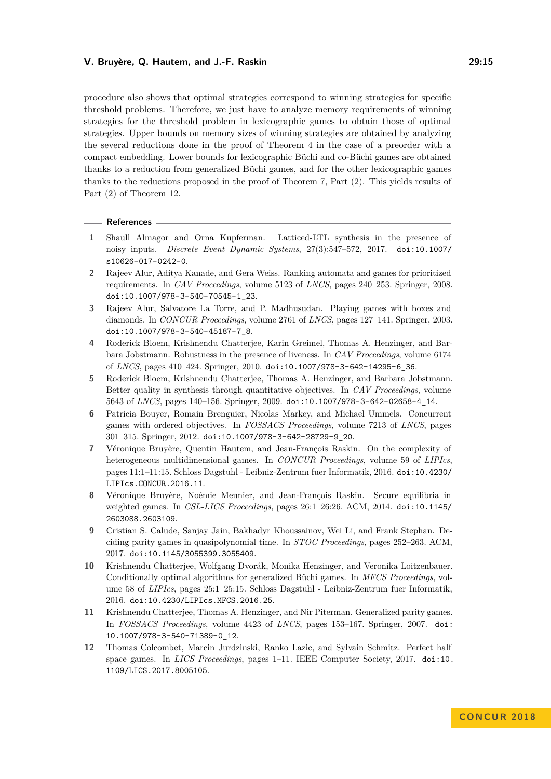procedure also shows that optimal strategies correspond to winning strategies for specific threshold problems. Therefore, we just have to analyze memory requirements of winning strategies for the threshold problem in lexicographic games to obtain those of optimal strategies. Upper bounds on memory sizes of winning strategies are obtained by analyzing the several reductions done in the proof of Theorem [4](#page-8-0) in the case of a preorder with a compact embedding. Lower bounds for lexicographic Büchi and co-Büchi games are obtained thanks to a reduction from generalized Büchi games, and for the other lexicographic games thanks to the reductions proposed in the proof of Theorem [7,](#page-11-0) Part (2). This yields results of Part (2) of Theorem [12.](#page-13-1)

#### **References**

- <span id="page-14-8"></span>**1** Shaull Almagor and Orna Kupferman. Latticed-LTL synthesis in the presence of noisy inputs. *Discrete Event Dynamic Systems*, 27(3):547–572, 2017. [doi:10.1007/](http://dx.doi.org/10.1007/s10626-017-0242-0) [s10626-017-0242-0](http://dx.doi.org/10.1007/s10626-017-0242-0).
- <span id="page-14-4"></span>**2** Rajeev Alur, Aditya Kanade, and Gera Weiss. Ranking automata and games for prioritized requirements. In *CAV Proceedings*, volume 5123 of *LNCS*, pages 240–253. Springer, 2008. [doi:10.1007/978-3-540-70545-1\\_23](http://dx.doi.org/10.1007/978-3-540-70545-1_23).
- <span id="page-14-11"></span>**3** Rajeev Alur, Salvatore La Torre, and P. Madhusudan. Playing games with boxes and diamonds. In *CONCUR Proceedings*, volume 2761 of *LNCS*, pages 127–141. Springer, 2003. [doi:10.1007/978-3-540-45187-7\\_8](http://dx.doi.org/10.1007/978-3-540-45187-7_8).
- <span id="page-14-10"></span>**4** Roderick Bloem, Krishnendu Chatterjee, Karin Greimel, Thomas A. Henzinger, and Barbara Jobstmann. Robustness in the presence of liveness. In *CAV Proceedings*, volume 6174 of *LNCS*, pages 410–424. Springer, 2010. [doi:10.1007/978-3-642-14295-6\\_36](http://dx.doi.org/10.1007/978-3-642-14295-6_36).
- <span id="page-14-5"></span>**5** Roderick Bloem, Krishnendu Chatterjee, Thomas A. Henzinger, and Barbara Jobstmann. Better quality in synthesis through quantitative objectives. In *CAV Proceedings*, volume 5643 of *LNCS*, pages 140–156. Springer, 2009. [doi:10.1007/978-3-642-02658-4\\_14](http://dx.doi.org/10.1007/978-3-642-02658-4_14).
- <span id="page-14-2"></span>**6** Patricia Bouyer, Romain Brenguier, Nicolas Markey, and Michael Ummels. Concurrent games with ordered objectives. In *FOSSACS Proceedings*, volume 7213 of *LNCS*, pages 301–315. Springer, 2012. [doi:10.1007/978-3-642-28729-9\\_20](http://dx.doi.org/10.1007/978-3-642-28729-9_20).
- <span id="page-14-1"></span>**7** Véronique Bruyère, Quentin Hautem, and Jean-François Raskin. On the complexity of heterogeneous multidimensional games. In *CONCUR Proceedings*, volume 59 of *LIPIcs*, pages 11:1–11:15. Schloss Dagstuhl - Leibniz-Zentrum fuer Informatik, 2016. [doi:10.4230/](http://dx.doi.org/10.4230/LIPIcs.CONCUR.2016.11) [LIPIcs.CONCUR.2016.11](http://dx.doi.org/10.4230/LIPIcs.CONCUR.2016.11).
- <span id="page-14-6"></span>**8** Véronique Bruyère, Noémie Meunier, and Jean-François Raskin. Secure equilibria in weighted games. In *CSL-LICS Proceedings*, pages 26:1–26:26. ACM, 2014. [doi:10.1145/](http://dx.doi.org/10.1145/2603088.2603109) [2603088.2603109](http://dx.doi.org/10.1145/2603088.2603109).
- <span id="page-14-3"></span>**9** Cristian S. Calude, Sanjay Jain, Bakhadyr Khoussainov, Wei Li, and Frank Stephan. Deciding parity games in quasipolynomial time. In *STOC Proceedings*, pages 252–263. ACM, 2017. [doi:10.1145/3055399.3055409](http://dx.doi.org/10.1145/3055399.3055409).
- <span id="page-14-9"></span>**10** Krishnendu Chatterjee, Wolfgang Dvorák, Monika Henzinger, and Veronika Loitzenbauer. Conditionally optimal algorithms for generalized Büchi games. In *MFCS Proceedings*, volume 58 of *LIPIcs*, pages 25:1–25:15. Schloss Dagstuhl - Leibniz-Zentrum fuer Informatik, 2016. [doi:10.4230/LIPIcs.MFCS.2016.25](http://dx.doi.org/10.4230/LIPIcs.MFCS.2016.25).
- <span id="page-14-0"></span>**11** Krishnendu Chatterjee, Thomas A. Henzinger, and Nir Piterman. Generalized parity games. In *FOSSACS Proceedings*, volume 4423 of *LNCS*, pages 153–167. Springer, 2007. [doi:](http://dx.doi.org/10.1007/978-3-540-71389-0_12) [10.1007/978-3-540-71389-0\\_12](http://dx.doi.org/10.1007/978-3-540-71389-0_12).
- <span id="page-14-7"></span>**12** Thomas Colcombet, Marcin Jurdzinski, Ranko Lazic, and Sylvain Schmitz. Perfect half space games. In *LICS Proceedings*, pages 1–11. IEEE Computer Society, 2017. [doi:10.](http://dx.doi.org/10.1109/LICS.2017.8005105) [1109/LICS.2017.8005105](http://dx.doi.org/10.1109/LICS.2017.8005105).